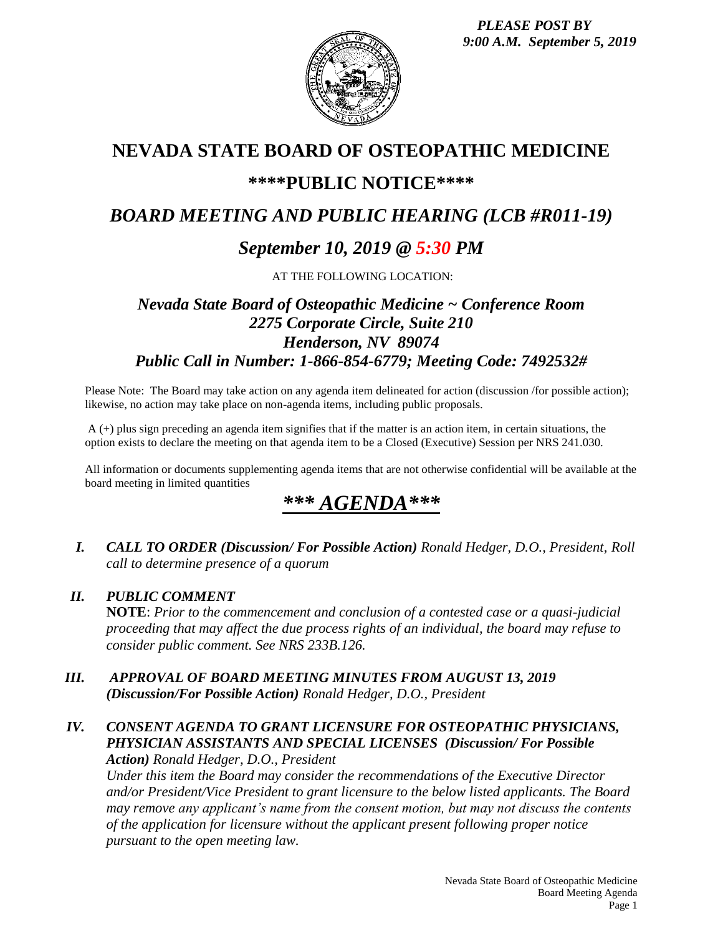*PLEASE POST BY 9:00 A.M. September 5, 2019*



## **NEVADA STATE BOARD OF OSTEOPATHIC MEDICINE**

## **\*\*\*\*PUBLIC NOTICE\*\*\*\***

# *BOARD MEETING AND PUBLIC HEARING (LCB #R011-19)*

## *September 10, 2019 @ 5:30 PM*

AT THE FOLLOWING LOCATION:

## *Nevada State Board of Osteopathic Medicine ~ Conference Room 2275 Corporate Circle, Suite 210 Henderson, NV 89074 Public Call in Number: 1-866-854-6779; Meeting Code: 7492532#*

Please Note: The Board may take action on any agenda item delineated for action (discussion /for possible action); likewise, no action may take place on non-agenda items, including public proposals.

A (+) plus sign preceding an agenda item signifies that if the matter is an action item, in certain situations, the option exists to declare the meeting on that agenda item to be a Closed (Executive) Session per NRS 241.030.

All information or documents supplementing agenda items that are not otherwise confidential will be available at the board meeting in limited quantities

# *\*\*\* AGENDA\*\*\**

*I. CALL TO ORDER (Discussion/ For Possible Action) Ronald Hedger, D.O., President, Roll call to determine presence of a quorum*

#### *II. PUBLIC COMMENT*

**NOTE**: *Prior to the commencement and conclusion of a contested case or a quasi-judicial proceeding that may affect the due process rights of an individual, the board may refuse to consider public comment. See NRS 233B.126.*

*III. APPROVAL OF BOARD MEETING MINUTES FROM AUGUST 13, 2019 (Discussion/For Possible Action) Ronald Hedger, D.O., President*

#### *IV. CONSENT AGENDA TO GRANT LICENSURE FOR OSTEOPATHIC PHYSICIANS, PHYSICIAN ASSISTANTS AND SPECIAL LICENSES (Discussion/ For Possible Action) Ronald Hedger, D.O., President*

*Under this item the Board may consider the recommendations of the Executive Director and/or President/Vice President to grant licensure to the below listed applicants. The Board may remove any applicant's name from the consent motion, but may not discuss the contents of the application for licensure without the applicant present following proper notice pursuant to the open meeting law.*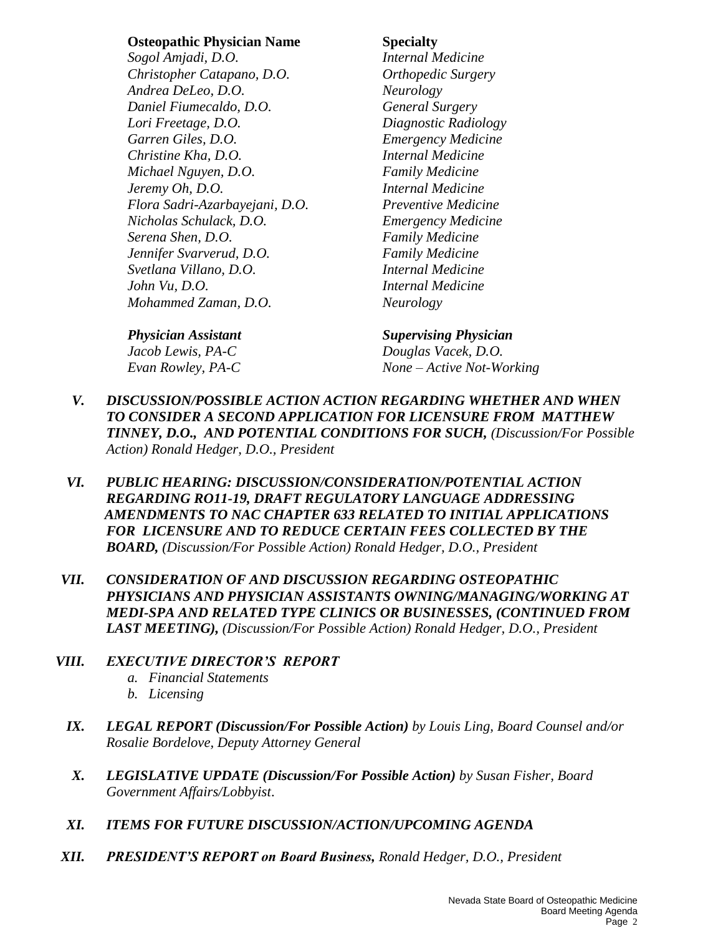#### **Osteopathic Physician Name Specialty**

*Sogol Amjadi, D.O. Internal Medicine Christopher Catapano, D.O. Orthopedic Surgery Andrea DeLeo, D.O. Neurology Daniel Fiumecaldo, D.O. General Surgery Lori Freetage, D.O. Diagnostic Radiology Garren Giles, D.O. Emergency Medicine Christine Kha, D.O. Internal Medicine Michael Nguyen, D.O. Family Medicine Jeremy Oh, D.O. Internal Medicine Flora Sadri-Azarbayejani, D.O. Preventive Medicine Nicholas Schulack, D.O. Emergency Medicine Serena Shen, D.O. Family Medicine Jennifer Svarverud, D.O. Family Medicine Svetlana Villano, D.O. Internal Medicine John Vu, D.O. Internal Medicine Mohammed Zaman, D.O. Neurology*

#### *Physician Assistant Supervising Physician*

*Jacob Lewis, PA-C Douglas Vacek, D.O. Evan Rowley, PA-C None – Active Not-Working*

- *V. DISCUSSION/POSSIBLE ACTION ACTION REGARDING WHETHER AND WHEN TO CONSIDER A SECOND APPLICATION FOR LICENSURE FROM MATTHEW TINNEY, D.O., AND POTENTIAL CONDITIONS FOR SUCH, (Discussion/For Possible Action) Ronald Hedger, D.O., President*
- *VI. PUBLIC HEARING: DISCUSSION/CONSIDERATION/POTENTIAL ACTION REGARDING RO11-19, DRAFT REGULATORY LANGUAGE ADDRESSING AMENDMENTS TO NAC CHAPTER 633 RELATED TO INITIAL APPLICATIONS FOR LICENSURE AND TO REDUCE CERTAIN FEES COLLECTED BY THE BOARD, (Discussion/For Possible Action) Ronald Hedger, D.O., President*
- *VII. CONSIDERATION OF AND DISCUSSION REGARDING OSTEOPATHIC PHYSICIANS AND PHYSICIAN ASSISTANTS OWNING/MANAGING/WORKING AT MEDI-SPA AND RELATED TYPE CLINICS OR BUSINESSES, (CONTINUED FROM LAST MEETING), (Discussion/For Possible Action) Ronald Hedger, D.O., President*

### *VIII. EXECUTIVE DIRECTOR'S REPORT*

- *a. Financial Statements*
- *b. Licensing*
- *IX. LEGAL REPORT (Discussion/For Possible Action) by Louis Ling, Board Counsel and/or Rosalie Bordelove, Deputy Attorney General*
- *X. LEGISLATIVE UPDATE (Discussion/For Possible Action) by Susan Fisher, Board Government Affairs/Lobbyist*.
- *XI. ITEMS FOR FUTURE DISCUSSION/ACTION/UPCOMING AGENDA*
- *XII. PRESIDENT'S REPORT on Board Business, Ronald Hedger, D.O., President*